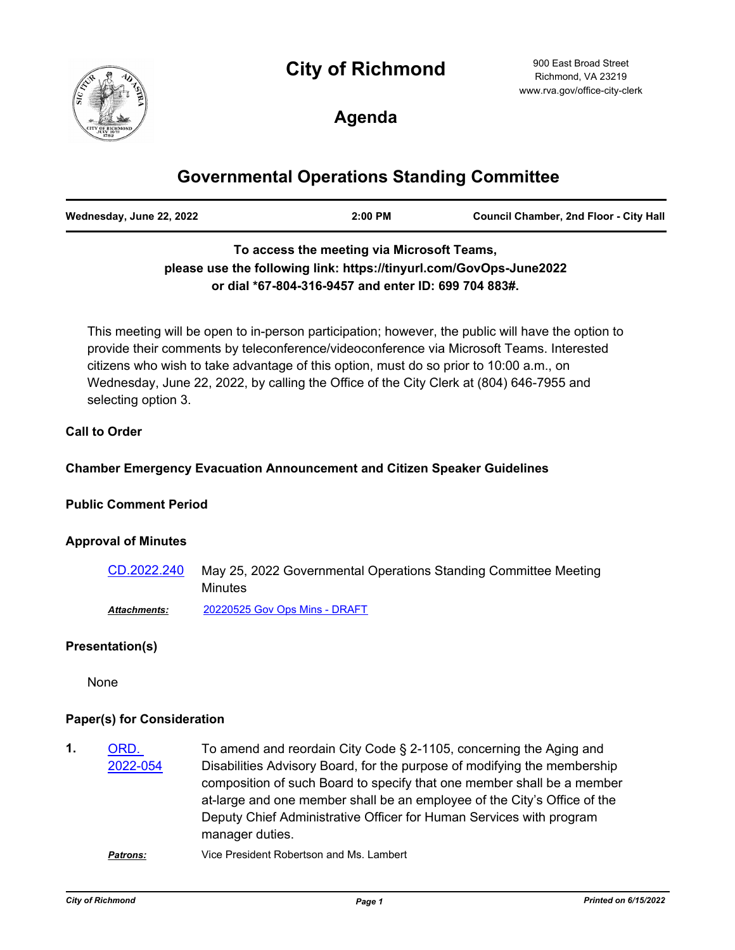# **City of Richmond**



900 East Broad Street Richmond, VA 23219 www.rva.gov/office-city-clerk

# **Agenda**

# **Governmental Operations Standing Committee**

| Wednesday, June 22, 2022 | 2:00 PM | <b>Council Chamber, 2nd Floor - City Hall</b> |
|--------------------------|---------|-----------------------------------------------|
|                          |         |                                               |

## **To access the meeting via Microsoft Teams, please use the following link: https://tinyurl.com/GovOps-June2022 or dial \*67-804-316-9457 and enter ID: 699 704 883#.**

This meeting will be open to in-person participation; however, the public will have the option to provide their comments by teleconference/videoconference via Microsoft Teams. Interested citizens who wish to take advantage of this option, must do so prior to 10:00 a.m., on Wednesday, June 22, 2022, by calling the Office of the City Clerk at (804) 646-7955 and selecting option 3.

#### **Call to Order**

### **Chamber Emergency Evacuation Announcement and Citizen Speaker Guidelines**

#### **Public Comment Period**

#### **Approval of Minutes**

May 25, 2022 Governmental Operations Standing Committee Meeting Minutes [CD.2022.240](http://richmondva.legistar.com/gateway.aspx?m=l&id=/matter.aspx?key=32346) *Attachments:* [20220525 Gov Ops Mins - DRAFT](http://richmondva.legistar.com/gateway.aspx?M=F&ID=a3b6e055-1a5c-41d6-8939-a1aa815731f4.pdf)

### **Presentation(s)**

None

#### **Paper(s) for Consideration**

To amend and reordain City Code § 2-1105, concerning the Aging and Disabilities Advisory Board, for the purpose of modifying the membership composition of such Board to specify that one member shall be a member at-large and one member shall be an employee of the City's Office of the Deputy Chief Administrative Officer for Human Services with program manager duties. ORD. [2022-054](http://richmondva.legistar.com/gateway.aspx?m=l&id=/matter.aspx?key=31736) **1.** *Patrons:* Vice President Robertson and Ms. Lambert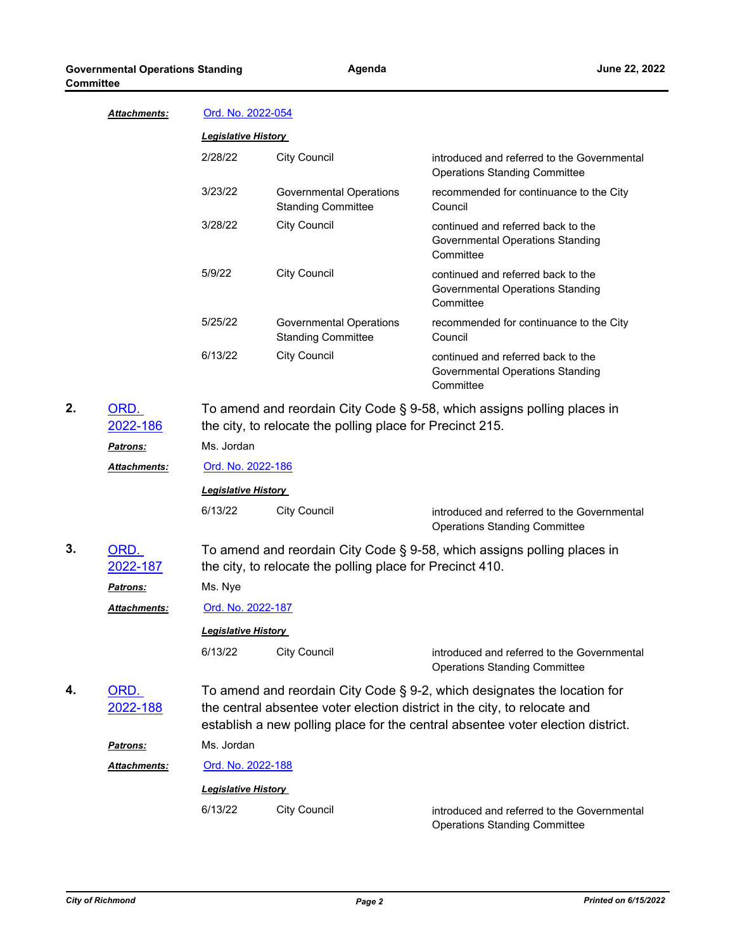| <u> Attachments:</u>    |                                                                                                                                                                                                                                          | Ord. No. 2022-054                                    |                                                                                            |  |
|-------------------------|------------------------------------------------------------------------------------------------------------------------------------------------------------------------------------------------------------------------------------------|------------------------------------------------------|--------------------------------------------------------------------------------------------|--|
|                         | <b>Legislative History</b>                                                                                                                                                                                                               |                                                      |                                                                                            |  |
|                         | 2/28/22                                                                                                                                                                                                                                  | <b>City Council</b>                                  | introduced and referred to the Governmental<br><b>Operations Standing Committee</b>        |  |
|                         | 3/23/22                                                                                                                                                                                                                                  | Governmental Operations<br><b>Standing Committee</b> | recommended for continuance to the City<br>Council                                         |  |
|                         | 3/28/22                                                                                                                                                                                                                                  | <b>City Council</b>                                  | continued and referred back to the<br>Governmental Operations Standing<br>Committee        |  |
|                         | 5/9/22                                                                                                                                                                                                                                   | <b>City Council</b>                                  | continued and referred back to the<br>Governmental Operations Standing<br>Committee        |  |
|                         | 5/25/22                                                                                                                                                                                                                                  | Governmental Operations<br><b>Standing Committee</b> | recommended for continuance to the City<br>Council                                         |  |
|                         | 6/13/22                                                                                                                                                                                                                                  | <b>City Council</b>                                  | continued and referred back to the<br><b>Governmental Operations Standing</b><br>Committee |  |
| ORD.                    | To amend and reordain City Code § 9-58, which assigns polling places in                                                                                                                                                                  |                                                      |                                                                                            |  |
| 2022-186                | the city, to relocate the polling place for Precinct 215.                                                                                                                                                                                |                                                      |                                                                                            |  |
| <b>Patrons:</b>         | Ms. Jordan                                                                                                                                                                                                                               |                                                      |                                                                                            |  |
| Attachments:            | <u>Ord. No. 2022-186</u>                                                                                                                                                                                                                 |                                                      |                                                                                            |  |
|                         | <b>Legislative History</b>                                                                                                                                                                                                               |                                                      |                                                                                            |  |
|                         | 6/13/22                                                                                                                                                                                                                                  | <b>City Council</b>                                  | introduced and referred to the Governmental<br><b>Operations Standing Committee</b>        |  |
| ORD.<br>2022-187        | To amend and reordain City Code § 9-58, which assigns polling places in<br>the city, to relocate the polling place for Precinct 410.                                                                                                     |                                                      |                                                                                            |  |
| <u>Patrons:</u>         | Ms. Nye                                                                                                                                                                                                                                  |                                                      |                                                                                            |  |
| Attachments:            |                                                                                                                                                                                                                                          | <u>Ord. No. 2022-187</u>                             |                                                                                            |  |
|                         | <b>Legislative History</b>                                                                                                                                                                                                               |                                                      |                                                                                            |  |
|                         | 6/13/22                                                                                                                                                                                                                                  | <b>City Council</b>                                  | introduced and referred to the Governmental<br><b>Operations Standing Committee</b>        |  |
| ORD.<br><u>2022-188</u> | To amend and reordain City Code § 9-2, which designates the location for<br>the central absentee voter election district in the city, to relocate and<br>establish a new polling place for the central absentee voter election district. |                                                      |                                                                                            |  |
| <u>Patrons:</u>         | Ms. Jordan                                                                                                                                                                                                                               |                                                      |                                                                                            |  |
| Attachments:            |                                                                                                                                                                                                                                          | Ord. No. 2022-188                                    |                                                                                            |  |
|                         |                                                                                                                                                                                                                                          | <b>Legislative History</b>                           |                                                                                            |  |
|                         | 6/13/22                                                                                                                                                                                                                                  | <b>City Council</b>                                  | introduced and referred to the Governmental<br><b>Operations Standing Committee</b>        |  |

**2.**

**3.**

**4.**